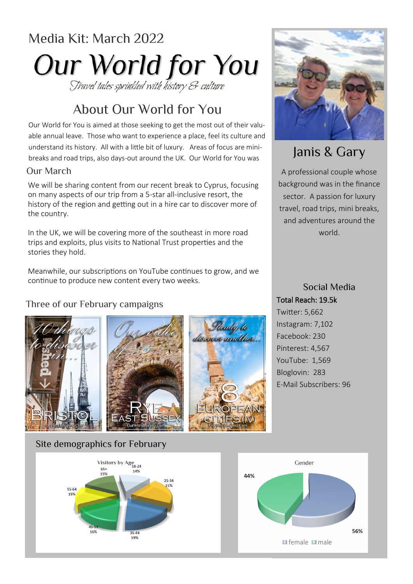# Media Kit: March 2022 **Our World for You**

# About Our World for You

Our World for You is aimed at those seeking to get the most out of their valuable annual leave. Those who want to experience a place, feel its culture and understand its history. All with a little bit of luxury. Areas of focus are minibreaks and road trips, also days-out around the UK. Our World for You was

#### Our March

We will be sharing content from our recent break to Cyprus, focusing on many aspects of our trip from a 5-star all-inclusive resort, the history of the region and getting out in a hire car to discover more of the country.

In the UK, we will be covering more of the southeast in more road trips and exploits, plus visits to National Trust properties and the stories they hold.

Meanwhile, our subscriptions on YouTube continues to grow, and we continue to produce new content every two weeks.

### Three of our February campaigns







# Janis & Gary

A professional couple whose background was in the finance sector. A passion for luxury travel, road trips, mini breaks, and adventures around the world.

Social Media Total Reach: 19.5k Twitter: 5,662 Instagram: 7,102 Facebook: 230

Pinterest: 4,567 YouTube: 1,569 Bloglovin: 283 E-Mail Subscribers: 96

#### Site demographics for February